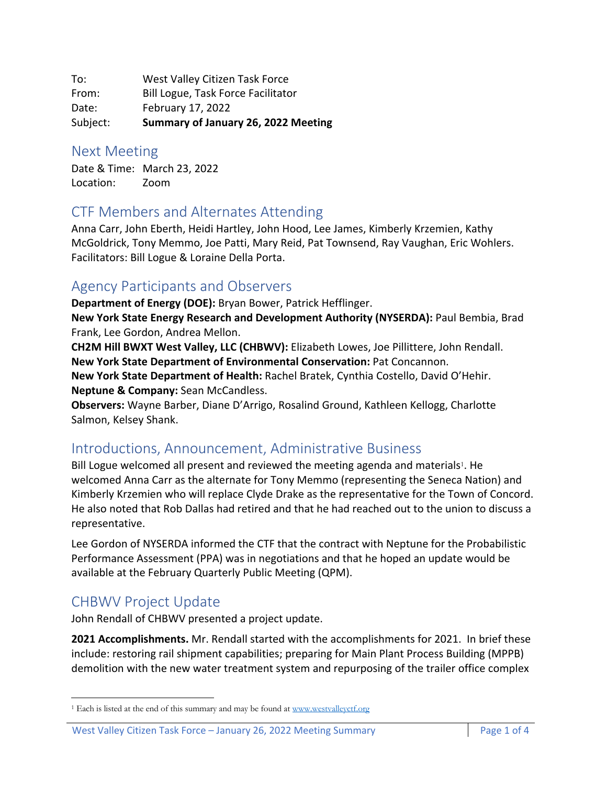To: West Valley Citizen Task Force From: Bill Logue, Task Force Facilitator Date: February 17, 2022 Subject: **Summary of January 26, 2022 Meeting**

#### Next Meeting

Date & Time: March 23, 2022 Location: Zoom

## CTF Members and Alternates Attending

Anna Carr, John Eberth, Heidi Hartley, John Hood, Lee James, Kimberly Krzemien, Kathy McGoldrick, Tony Memmo, Joe Patti, Mary Reid, Pat Townsend, Ray Vaughan, Eric Wohlers. Facilitators: Bill Logue & Loraine Della Porta.

## Agency Participants and Observers

**Department of Energy (DOE):** Bryan Bower, Patrick Hefflinger.

**New York State Energy Research and Development Authority (NYSERDA):** Paul Bembia, Brad Frank, Lee Gordon, Andrea Mellon.

**CH2M Hill BWXT West Valley, LLC (CHBWV):** Elizabeth Lowes, Joe Pillittere, John Rendall. **New York State Department of Environmental Conservation:** Pat Concannon. **New York State Department of Health:** Rachel Bratek, Cynthia Costello, David O'Hehir. **Neptune & Company:** Sean McCandless.

**Observers:** Wayne Barber, Diane D'Arrigo, Rosalind Ground, Kathleen Kellogg, Charlotte Salmon, Kelsey Shank.

# Introductions, Announcement, Administrative Business

Bill Logue welcomed all present and reviewed the meeting agenda and materials<sup>1</sup>. He welcomed Anna Carr as the alternate for Tony Memmo (representing the Seneca Nation) and Kimberly Krzemien who will replace Clyde Drake as the representative for the Town of Concord. He also noted that Rob Dallas had retired and that he had reached out to the union to discuss a representative.

Lee Gordon of NYSERDA informed the CTF that the contract with Neptune for the Probabilistic Performance Assessment (PPA) was in negotiations and that he hoped an update would be available at the February Quarterly Public Meeting (QPM).

# CHBWV Project Update

John Rendall of CHBWV presented a project update.

**2021 Accomplishments.** Mr. Rendall started with the accomplishments for 2021. In brief these include: restoring rail shipment capabilities; preparing for Main Plant Process Building (MPPB) demolition with the new water treatment system and repurposing of the trailer office complex

<sup>&</sup>lt;sup>1</sup> Each is listed at the end of this summary and may be found at www.westvalleyctf.org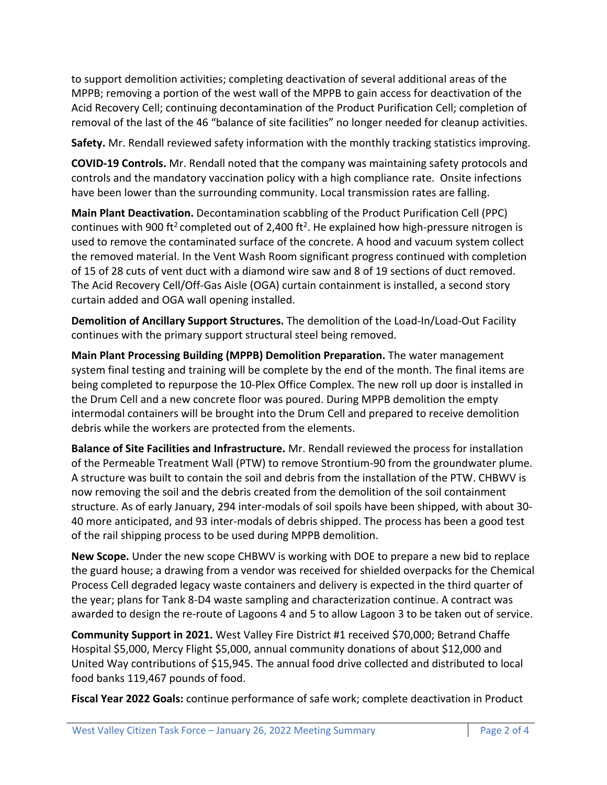to support demolition activities; completing deactivation of several additional areas of the MPPB; removing a portion of the west wall of the MPPB to gain access for deactivation of the Acid Recovery Cell; continuing decontamination of the Product Purification Cell; completion of removal of the last of the 46 "balance of site facilities" no longer needed for cleanup activities.

**Safety.** Mr. Rendall reviewed safety information with the monthly tracking statistics improving.

**COVID-19 Controls.** Mr. Rendall noted that the company was maintaining safety protocols and controls and the mandatory vaccination policy with a high compliance rate. Onsite infections have been lower than the surrounding community. Local transmission rates are falling.

**Main Plant Deactivation.** Decontamination scabbling of the Product Purification Cell (PPC) continues with 900 ft<sup>2</sup> completed out of 2,400 ft<sup>2</sup>. He explained how high-pressure nitrogen is used to remove the contaminated surface of the concrete. A hood and vacuum system collect the removed material. In the Vent Wash Room significant progress continued with completion of 15 of 28 cuts of vent duct with a diamond wire saw and 8 of 19 sections of duct removed. The Acid Recovery Cell/Off-Gas Aisle (OGA) curtain containment is installed, a second story curtain added and OGA wall opening installed.

**Demolition of Ancillary Support Structures.** The demolition of the Load-In/Load-Out Facility continues with the primary support structural steel being removed.

**Main Plant Processing Building (MPPB) Demolition Preparation.** The water management system final testing and training will be complete by the end of the month. The final items are being completed to repurpose the 10-Plex Office Complex. The new roll up door is installed in the Drum Cell and a new concrete floor was poured. During MPPB demolition the empty intermodal containers will be brought into the Drum Cell and prepared to receive demolition debris while the workers are protected from the elements.

**Balance of Site Facilities and Infrastructure.** Mr. Rendall reviewed the process for installation of the Permeable Treatment Wall (PTW) to remove Strontium-90 from the groundwater plume. A structure was built to contain the soil and debris from the installation of the PTW. CHBWV is now removing the soil and the debris created from the demolition of the soil containment structure. As of early January, 294 inter-modals of soil spoils have been shipped, with about 30- 40 more anticipated, and 93 inter-modals of debris shipped. The process has been a good test of the rail shipping process to be used during MPPB demolition.

**New Scope.** Under the new scope CHBWV is working with DOE to prepare a new bid to replace the guard house; a drawing from a vendor was received for shielded overpacks for the Chemical Process Cell degraded legacy waste containers and delivery is expected in the third quarter of the year; plans for Tank 8-D4 waste sampling and characterization continue. A contract was awarded to design the re-route of Lagoons 4 and 5 to allow Lagoon 3 to be taken out of service.

**Community Support in 2021.** West Valley Fire District #1 received \$70,000; Betrand Chaffe Hospital \$5,000, Mercy Flight \$5,000, annual community donations of about \$12,000 and United Way contributions of \$15,945. The annual food drive collected and distributed to local food banks 119,467 pounds of food.

**Fiscal Year 2022 Goals:** continue performance of safe work; complete deactivation in Product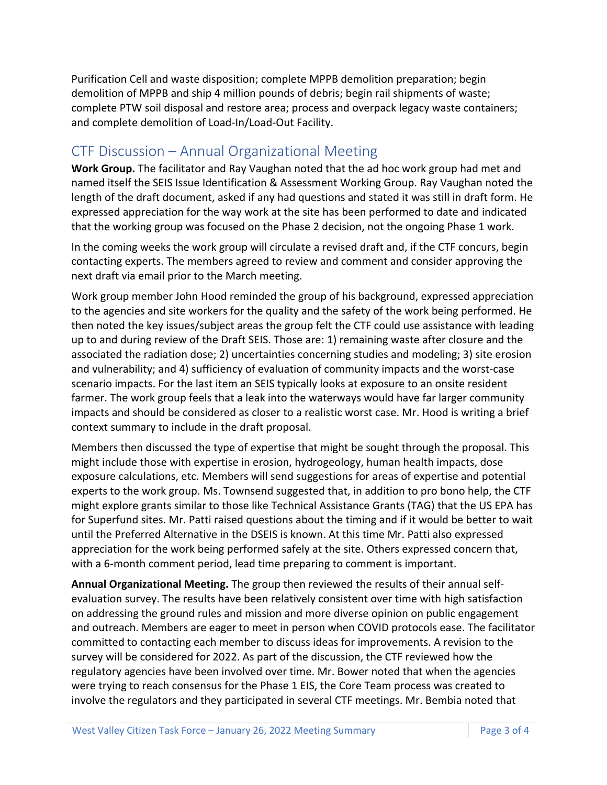Purification Cell and waste disposition; complete MPPB demolition preparation; begin demolition of MPPB and ship 4 million pounds of debris; begin rail shipments of waste; complete PTW soil disposal and restore area; process and overpack legacy waste containers; and complete demolition of Load-In/Load-Out Facility.

## CTF Discussion – Annual Organizational Meeting

**Work Group.** The facilitator and Ray Vaughan noted that the ad hoc work group had met and named itself the SEIS Issue Identification & Assessment Working Group. Ray Vaughan noted the length of the draft document, asked if any had questions and stated it was still in draft form. He expressed appreciation for the way work at the site has been performed to date and indicated that the working group was focused on the Phase 2 decision, not the ongoing Phase 1 work.

In the coming weeks the work group will circulate a revised draft and, if the CTF concurs, begin contacting experts. The members agreed to review and comment and consider approving the next draft via email prior to the March meeting.

Work group member John Hood reminded the group of his background, expressed appreciation to the agencies and site workers for the quality and the safety of the work being performed. He then noted the key issues/subject areas the group felt the CTF could use assistance with leading up to and during review of the Draft SEIS. Those are: 1) remaining waste after closure and the associated the radiation dose; 2) uncertainties concerning studies and modeling; 3) site erosion and vulnerability; and 4) sufficiency of evaluation of community impacts and the worst-case scenario impacts. For the last item an SEIS typically looks at exposure to an onsite resident farmer. The work group feels that a leak into the waterways would have far larger community impacts and should be considered as closer to a realistic worst case. Mr. Hood is writing a brief context summary to include in the draft proposal.

Members then discussed the type of expertise that might be sought through the proposal. This might include those with expertise in erosion, hydrogeology, human health impacts, dose exposure calculations, etc. Members will send suggestions for areas of expertise and potential experts to the work group. Ms. Townsend suggested that, in addition to pro bono help, the CTF might explore grants similar to those like Technical Assistance Grants (TAG) that the US EPA has for Superfund sites. Mr. Patti raised questions about the timing and if it would be better to wait until the Preferred Alternative in the DSEIS is known. At this time Mr. Patti also expressed appreciation for the work being performed safely at the site. Others expressed concern that, with a 6-month comment period, lead time preparing to comment is important.

**Annual Organizational Meeting.** The group then reviewed the results of their annual selfevaluation survey. The results have been relatively consistent over time with high satisfaction on addressing the ground rules and mission and more diverse opinion on public engagement and outreach. Members are eager to meet in person when COVID protocols ease. The facilitator committed to contacting each member to discuss ideas for improvements. A revision to the survey will be considered for 2022. As part of the discussion, the CTF reviewed how the regulatory agencies have been involved over time. Mr. Bower noted that when the agencies were trying to reach consensus for the Phase 1 EIS, the Core Team process was created to involve the regulators and they participated in several CTF meetings. Mr. Bembia noted that